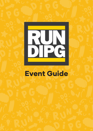

# Event Guide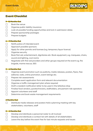

## **Event Checklist**

#### **9- 12 Months Out**

- $\Box$  Book the venue
- ⃣ Organise public liability insurance
- $\Box$  Look at possible funding opportunities and lock in submission dates
- ⃣ Prepare sponsorship packages
- □ Prepare budgets

#### **6 – 9 Months Out**

- $\Box$  Notify police of intended event
- ⃣ Approach possible sponsors
- $\Box$  Apply for other permits and licenses (e.g. temporary liquor licence)
- ⃣ Organise security
- ⃣ Book first aid, entertainment, dignitaries etc. Book equipment, e.g. marquees, chairs, sound and lighting, cool rooms
- $\Box$  Negotiate with first aid providers and other groups required at the event e.g. fire brigade, marine rescue, SES

#### **3 – 6 Months Out**

- ⃣ Organise event promotion such as publicity, media releases, posters, flyers, free editorial, radio, online promotion, event listings etc.
- ⃣ Prepare risk assessments
- □ Complete event application form and relevant documentation
- ⃣ Organise a traffic management plan where required
- $\Box$  Draft a resident notification letter to be used in the letterbox drop
- ⃣ Finalise food vendors, pyrotechnicians, stallholders, amusement ride operators
- □ Appoint volunteers and staff
- ⃣ Determine and book waste management requirements

#### **2 Months Out**

 $\Box$  Distribute media releases and posters Hold a planning meeting with key stakeholders, volunteers, staff

#### **0 – 2 Months Out**

- $\Box$  Develop and distribute a personnel roster to all involved
- $\Box$  Develop and distribute a contact list with details of all stakeholders
- $\Box$  Leave the day before the event free for last minute requests and issues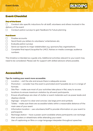

## **Event Checklist**

#### **Day of the Event**

⃣ Conduct site-specific inductions for all staff, volunteers and others involved in the delivery of the event

⃣ Conduct patron surveys to gain feedback for future planning

#### **Post Event**

- ⃣ Finalise accounts
- ⃣ Send thank you letters to volunteers/ entertainers etc.
- $\Box$  Evaluate patron surveys
- ⃣ Send out reports to major stakeholders e.g. sponsors/key organisations
- □ Complete final report/acquittal for LMCC Advise on media coverage, audience numbers

This timeline is intended as a guide only. Additional activities relevant to your event may need to be considered. Please ask for support with skilled advisors where possible.

# **Accessibility**

#### **Tips for making your event more accessible:**

- $\Box$  Location visit the site and ensure there is adequate access
- $\Box$  Promotion consider how the event is promoted and if possible do so in a range of formats
- $\Box$  Site Plan make sure most of your activities take place in flat, easy to access locations to ensure maximum visitation by all event participants.
- ⃣ Ensure all pathways are clear of clutter or event materials such as power leads and displays stands
- ⃣ Signage ensure it is clear and concise. Use large print and symbols
- $\Box$  Toilets make sure there are accessible toilets within a reasonable distance of the main area of your event
- $\Box$  Information location use volunteers/staff to provide information on your event to participants
- $\Box$  Recharge station have a power-point available where participants can recharge their scooters or wheelchairs while attending your event
- ⃣ Use of captioning on films or a sign language interpreter throughout speeches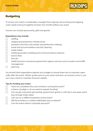

## **Budgeting**

To ensure your event is sustainable, a budget that captures all incoming and outgoing costs needs to be put together at least nine months before your event.

Income can include sponsorship, gifts and grants.

#### **Expenditure may include:**

- ⃣ staffing
- ⃣ staging and production infrastructure
- ⃣ transport and fuel costs artists and performers catering
- ⃣ travel and accommodation security cleaning
- $\Box$  waste toilets
- ⃣ ticketing provider marketing and communications research
- $\Box$  licence fees
- $\Box$  first aid
- ⃣ health provision insurances government agency services such as police and traffic management
- ⃣ planning

You should track expenditure against your budget to ensure there are no surprises, especially after the event. Obtain quotes prior to your event and then, as invoices come in, you can cross-check to maintain financial viability.

#### **Tips for funding your event:**

- $\Box$  Have we considered the cost involved in running the event?
- $\Box$  Is there a budget or do we need to request funding?
- $\Box$  Can we get corporate sponsorship, government grants or will it be a user pays event (e.g. through ticket sales).
- $\Box$  Can we run a raffle/competition at the event?
- ⃣ Will food vendors or market stallholders pay to attend?
- □ Can the event attract corporate sponsors?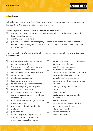

### **Site Plan**

A site plan provides an overview of your event, clearly shows where it will be staged, and displays the entrances and exits, facilities and more.

#### **Developing a site plan will also be invaluable when you are:**

- □ applying to government agencies and other regulatory authorities for special licences and approvals
- $\Box$  identifying potential risks

□ providing information for emergency services, such as the location of potential hazards or how emergency vehicles can access the venue/site considering crowd management

The content of your site plan should reflect the various aspects of your event. **Consider the location of:**

|        | the stage and other structures, such   | area for media working on the event     |
|--------|----------------------------------------|-----------------------------------------|
|        | as barricades and screens              | fire-fighting equipment                 |
|        | the event coordination centre and      | free drinking water points              |
|        | emergency response room                | areas for lost children                 |
|        | first aid area (preferably undercover) | secure areas for storing lost property, |
|        | entertainment areas                    | prohibited and confiscated goods        |
| $\Box$ | restricted access areas                | areas for staff and volunteers          |
|        | food vendors and stalls                | power and stand-by generators gas       |
|        | toilets, including accessible toilets  | cylinders                               |
| $\Box$ | sound and lighting control points      | seating arrangements shelter and        |
| $\Box$ | emergency access routes                | shade                                   |
| $\Box$ | all entrances and exits, including     | security guards                         |
|        | separate access points for staff and   | waste receptacles and recycling         |
|        | entertainers                           | facilities                              |
| $\Box$ | routes around and through the event    | first aid facilities                    |
|        | used by vehicles                       | facilities for people with disability   |
|        | paths and lighting for pedestrians     | public address systems                  |
|        | parking                                | information stands                      |
|        | parade route                           | carpark attendants                      |
| $\Box$ | accessible points for people with      | crowd controllers                       |
|        | disability, including ramps and        |                                         |
|        | wheelchair-accessible routes           |                                         |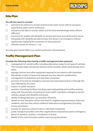

## **Site Plan**

#### **You will also need to consider:**

- ⃣ provisions for patrons to access and leave the event venue without excessive queuing (e.g. gate control, pathways)
- ⃣ will patrons be able to access toilets and the food and beverage areas without difficulty?
- $\Box$  provisions for people with disability to access and move around the event venue
- $\Box$  will people with disability be able to leave the venue in an emergency without significantly impeding the movement of other patrons?
- ⃣ Vehicles access for bump in / out

Your site plan should reflect your event's particular characteristics.

## **Traffic Management Plan**

#### **Consider the following when having a traffic management plan prepared:**

- ⃣ management of vehicle traffic, including alternative routes for all types of vehicles. This includes large commercial vehicles and B-doubles, where road closures are in place
- ⃣ signage, barriers and other equipment required (in accordance with Australian Standards) number of personnel required and any relevant qualifications
- $\Box$  management of pedestrian and spectator movement
- □ provision of access by emergency services and event personnel to or through the area affected by the event
- $\Box$  impact on public transport
- $\Box$  provision of parking facilities including supervised parking and overflow parking, along with the provision of parking for event staff/ volunteers, emergency service vehicles, people with disability and buses
- $\Box$  details of designated pick-up and drop-off points
- □ details on how disruption will be minimised to neighbouring businesses, clubs and residents, and how they will be notified of alternative arrangements (including access provisions)
- □ process for advance notices to taxi or ride share companies
- ⃣ public transport providers and other organisations impacted by event contingency plans (i.e. weather variation, cancellation of event)
- $\Box$  details of the communication system used among key parties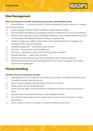

# **Risk Management**

#### **Risks and issues to consider achieving a successful, well attended event.**

- $\Box$  Administration contracts, permits, licences Marketing & public relations managing communications
- ⃣ Asset damage/loss (e.g: theft, vandalism, severe weather event).
- ⃣ Environmental damage (e.g: inadequate waste management, run-off of pollutants).
- ⃣ Financial loss (e.g: event poorly marketed, resulting in poor interest/attendance and minimal sales, withdrawal of future funding or sponsorship).
- ⃣ Health & safety (e.g: safety control plans, risk associated with food, hygiene and sanitation, PPE, manual handling)
- ⃣ Crowd management crowd flow, noise control
- $\Box$  Security security plan and management
- ⃣ Transport deliveries, bump-in/out, parking public transport
- $\Box$  Natural elements water, heat, wind etc
- ⃣ Objective/output delivery (e.g: service disruption due to severe weather)
- ⃣ Reputation/community (e.g: risk eventuates and is poorly managed, procedures found to be inadequate)

# **Money Handling**

#### **Whether you are fundraising consider:**

- $\Box$  arrangements for the collection of money at your event, including whether fencing is needed at gate collection points
- ⃣ how to ensure staff are safe at money collection locations
- $\Box$  where money can be stored securely
- ⃣ when and how often money should be transferred to secure locations during the event
- □ procedures for transferring money to safe storage locations
- ⃣ Any staff handling large sums of money at your event must be trained in correct procedures.
- $\Box$  Clear outline of who is in charge on money handling at the event